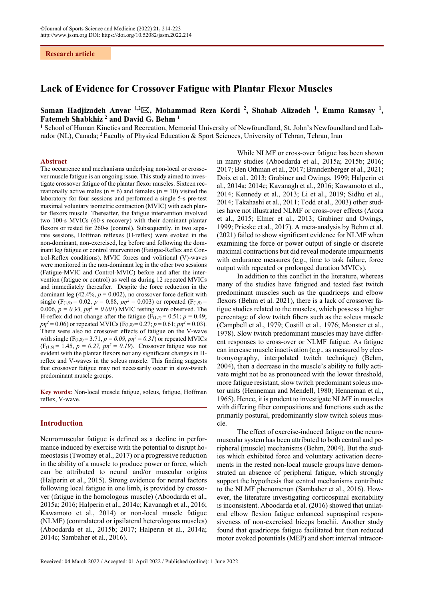# **Lack of Evidence for Crossover Fatigue with Plantar Flexor Muscles**

# **Saman Hadjizadeh Anvar 1,2, Mohammad Reza Kordi 2 , Shahab Alizadeh 1 , Emma Ramsay 1 ,**  Fatemeh Shabkhiz<sup>2</sup> and David G. Behm<sup>1</sup>

<sup>1</sup> School of Human Kinetics and Recreation, Memorial University of Newfoundland, St. John's Newfoundland and Labrador (NL), Canada; **<sup>2</sup>** Faculty of Physical Education & Sport Sciences, University of Tehran, Tehran, Iran

#### **Abstract**

The occurrence and mechanisms underlying non-local or crossover muscle fatigue is an ongoing issue. This study aimed to investigate crossover fatigue of the plantar flexor muscles. Sixteen recreationally active males ( $n = 6$ ) and females ( $n = 10$ ) visited the laboratory for four sessions and performed a single 5-s pre-test maximal voluntary isometric contraction (MVIC) with each plantar flexors muscle. Thereafter, the fatigue intervention involved two 100-s MVICs (60-s recovery) with their dominant plantar flexors or rested for 260-s (control). Subsequently, in two separate sessions, Hoffman reflexes (H-reflex) were evoked in the non-dominant, non-exercised, leg before and following the dominant leg fatigue or control intervention (Fatigue-Reflex and Control-Reflex conditions). MVIC forces and volitional (V)-waves were monitored in the non-dominant leg in the other two sessions (Fatigue-MVIC and Control-MVIC) before and after the intervention (fatigue or control) as well as during 12 repeated MVICs and immediately thereafter. Despite the force reduction in the dominant leg  $(42.4\%, p = 0.002)$ , no crossover force deficit with single (F<sub>(1,9)</sub> = 0.02,  $p = 0.88$ ,  $p\eta^2 = 0.003$ ) or repeated (F<sub>(1,9)</sub> = 0.006,  $p = 0.93$ ,  $p\eta^2 = 0.001$ ) MVIC testing were observed. The H-reflex did not change after the fatigue ( $F_{(1,7)} = 0.51$ ;  $p = 0.49$ ;  $p\eta^2 = 0.06$ ) or repeated MVICs (F<sub>(1,8)</sub> = 0.27;  $p = 0.61$ ;  $p\eta^2 = 0.03$ ). There were also no crossover effects of fatigue on the V-wave with single (F<sub>(1,8)</sub> = 3.71,  $p = 0.09$ ,  $p\eta^2 = 0.31$ ) or repeated MVICs  $(F_{(1,6)} = 1.45, p = 0.27, p\eta^2 = 0.19)$ . Crossover fatigue was not evident with the plantar flexors nor any significant changes in Hreflex and V-waves in the soleus muscle. This finding suggests that crossover fatigue may not necessarily occur in slow-twitch predominant muscle groups.

**Key words:** Non-local muscle fatigue, soleus, fatigue, Hoffman reflex, V-wave.

### **Introduction**

Neuromuscular fatigue is defined as a decline in performance induced by exercise with the potential to disrupt homeostasis (Twomey et al., 2017) or a progressive reduction in the ability of a muscle to produce power or force, which can be attributed to neural and/or muscular origins (Halperin et al., 2015). Strong evidence for neural factors following local fatigue in one limb, is provided by crossover (fatigue in the homologous muscle) (Aboodarda et al., 2015a; 2016; Halperin et al., 2014c; Kavanagh et al., 2016; Kawamoto et al., 2014) or non-local muscle fatigue (NLMF) (contralateral or ipsilateral heterologous muscles) (Aboodarda et al., 2015b; 2017; Halperin et al., 2014a; 2014c; Sambaher et al., 2016).

While NLMF or cross-over fatigue has been shown in many studies (Aboodarda et al., 2015a; 2015b; 2016; 2017; Ben Othman et al., 2017; Brandenberger et al., 2021; Doix et al., 2013; Grabiner and Owings, 1999; Halperin et al., 2014a; 2014c; Kavanagh et al., 2016; Kawamoto et al., 2014; Kennedy et al., 2013; Li et al., 2019; Sidhu et al., 2014; Takahashi et al., 2011; Todd et al., 2003) other studies have not illustrated NLMF or cross-over effects (Arora et al., 2015; Elmer et al., 2013; Grabiner and Owings, 1999; Prieske et al., 2017). A meta-analysis by Behm et al. (2021) failed to show significant evidence for NLMF when examining the force or power output of single or discrete maximal contractions but did reveal moderate impairments with endurance measures (e.g., time to task failure, force output with repeated or prolonged duration MVICs).

In addition to this conflict in the literature, whereas many of the studies have fatigued and tested fast twitch predominant muscles such as the quadriceps and elbow flexors (Behm et al. 2021), there is a lack of crossover fatigue studies related to the muscles, which possess a higher percentage of slow twitch fibers such as the soleus muscle (Campbell et al., 1979; Costill et al., 1976; Monster et al., 1978). Slow twitch predominant muscles may have different responses to cross-over or NLMF fatigue. As fatigue can increase muscle inactivation (e.g., as measured by electromyography, interpolated twitch technique) (Behm, 2004), then a decrease in the muscle's ability to fully activate might not be as pronounced with the lower threshold, more fatigue resistant, slow twitch predominant soleus motor units (Henneman and Mendell, 1980; Henneman et al., 1965). Hence, it is prudent to investigate NLMF in muscles with differing fiber compositions and functions such as the primarily postural, predominantly slow twitch soleus muscle.

The effect of exercise-induced fatigue on the neuromuscular system has been attributed to both central and peripheral (muscle) mechanisms (Behm, 2004). But the studies which exhibited force and voluntary activation decrements in the rested non-local muscle groups have demonstrated an absence of peripheral fatigue, which strongly support the hypothesis that central mechanisms contribute to the NLMF phenomenon (Sambaher et al., 2016). However, the literature investigating corticospinal excitability is inconsistent. Aboodarda et al. (2016) showed that unilateral elbow flexion fatigue enhanced supraspinal responsiveness of non-exercised biceps brachii. Another study found that quadriceps fatigue facilitated but then reduced motor evoked potentials (MEP) and short interval intracor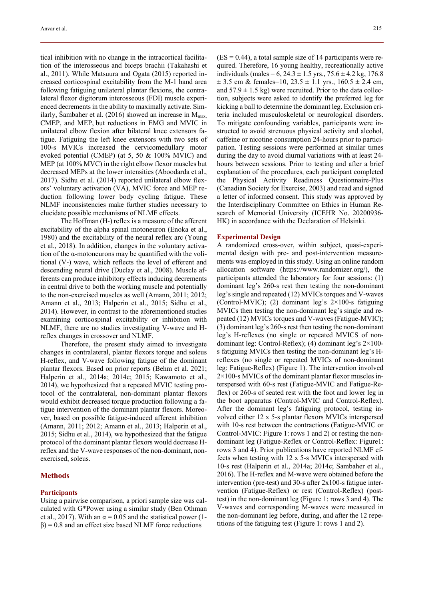tical inhibition with no change in the intracortical facilitation of the interosseous and biceps brachii (Takahashi et al., 2011). While Matsuura and Ogata (2015) reported increased corticospinal excitability from the M-1 hand area following fatiguing unilateral plantar flexions, the contralateral flexor digitorum interosseous (FDI) muscle experienced decrements in the ability to maximally activate. Similarly, Šambaher et al. (2016) showed an increase in  $M_{\text{max}}$ , CMEP, and MEP, but reductions in EMG and MVIC in unilateral elbow flexion after bilateral knee extensors fatigue. Fatiguing the left knee extensors with two sets of 100-s MVICs increased the cervicomedullary motor evoked potential (CMEP) (at 5, 50 & 100% MVIC) and MEP (at 100% MVC) in the right elbow flexor muscles but decreased MEPs at the lower intensities (Aboodarda et al., 2017). Sidhu et al. (2014) reported unilateral elbow flexors' voluntary activation (VA), MVIC force and MEP reduction following lower body cycling fatigue. These NLMF inconsistencies make further studies necessary to elucidate possible mechanisms of NLMF effects.

The Hoffman (H-) reflex is a measure of the afferent excitability of the alpha spinal motoneuron (Enoka et al., 1980) and the excitability of the neural reflex arc (Young et al., 2018). In addition, changes in the voluntary activation of the α-motoneurons may be quantified with the volitional (V-) wave, which reflects the level of efferent and descending neural drive (Duclay et al., 2008). Muscle afferents can produce inhibitory effects inducing decrements in central drive to both the working muscle and potentially to the non-exercised muscles as well (Amann, 2011; 2012; Amann et al., 2013; Halperin et al., 2015; Sidhu et al., 2014). However, in contrast to the aforementioned studies examining corticospinal excitability or inhibition with NLMF, there are no studies investigating V-wave and Hreflex changes in crossover and NLMF.

Therefore, the present study aimed to investigate changes in contralateral, plantar flexors torque and soleus H-reflex, and V-wave following fatigue of the dominant plantar flexors. Based on prior reports (Behm et al. 2021; Halperin et al., 2014a; 2014c; 2015; Kawamoto et al., 2014), we hypothesized that a repeated MVIC testing protocol of the contralateral, non-dominant plantar flexors would exhibit decreased torque production following a fatigue intervention of the dominant plantar flexors. Moreover, based on possible fatigue-induced afferent inhibition (Amann, 2011; 2012; Amann et al., 2013; Halperin et al., 2015; Sidhu et al., 2014), we hypothesized that the fatigue protocol of the dominant plantar flexors would decrease Hreflex and the V-wave responses of the non-dominant, nonexercised, soleus.

## **Methods**

# **Participants**

Using a pairwise comparison, a priori sample size was calculated with G\*Power using a similar study (Ben Othman et al., 2017). With an  $\alpha = 0.05$  and the statistical power (1- $\beta$ ) = 0.8 and an effect size based NLMF force reductions

 $(ES = 0.44)$ , a total sample size of 14 participants were required. Therefore, 16 young healthy, recreationally active individuals (males =  $6$ ,  $24.3 \pm 1.5$  yrs.,  $75.6 \pm 4.2$  kg,  $176.8$  $\pm$  3.5 cm & females=10, 23.5  $\pm$  1.1 yrs., 160.5  $\pm$  2.4 cm, and  $57.9 \pm 1.5$  kg) were recruited. Prior to the data collection, subjects were asked to identify the preferred leg for kicking a ball to determine the dominant leg. Exclusion criteria included musculoskeletal or neurological disorders. To mitigate confounding variables, participants were instructed to avoid strenuous physical activity and alcohol, caffeine or nicotine consumption 24-hours prior to participation. Testing sessions were performed at similar times during the day to avoid diurnal variations with at least 24 hours between sessions. Prior to testing and after a brief explanation of the procedures, each participant completed the Physical Activity Readiness Questionnaire-Plus (Canadian Society for Exercise, 2003) and read and signed a letter of informed consent. This study was approved by the Interdisciplinary Committee on Ethics in Human Research of Memorial University (ICEHR No. 20200936- HK) in accordance with the Declaration of Helsinki.

#### **Experimental Design**

A randomized cross-over, within subject, quasi-experimental design with pre- and post-intervention measurements was employed in this study. Using an online random allocation software (https://www.randomizer.org/), the participants attended the laboratory for four sessions: (1) dominant leg's 260-s rest then testing the non-dominant leg's single and repeated (12) MVICs torques and V-waves (Control-MVIC); (2) dominant leg's 2×100-s fatiguing MVICs then testing the non-dominant leg's single and repeated (12) MVICs torques and V-waves (Fatigue-MVIC); (3) dominant leg's 260-s rest then testing the non-dominant leg's H-reflexes (no single or repeated MVICS of nondominant leg: Control-Reflex); (4) dominant leg's 2×100 s fatiguing MVICs then testing the non-dominant leg's Hreflexes (no single or repeated MVICs of non-dominant leg: Fatigue-Reflex) (Figure 1). The intervention involved 2×100-s MVICs of the dominant plantar flexor muscles interspersed with 60-s rest (Fatigue-MVIC and Fatigue-Reflex) or 260-s of seated rest with the foot and lower leg in the boot apparatus (Control-MVIC and Control-Reflex). After the dominant leg's fatiguing protocol, testing involved either 12 x 5-s plantar flexors MVICs interspersed with 10-s rest between the contractions (Fatigue-MVIC or Control-MVIC: Figure 1: rows 1 and 2) or resting the nondominant leg (Fatigue-Reflex or Control-Reflex: Figure1: rows 3 and 4). Prior publications have reported NLMF effects when testing with 12 x 5-s MVICs interspersed with 10-s rest (Halperin et al., 2014a; 2014c; Sambaher et al., 2016). The H-reflex and M-wave were obtained before the intervention (pre-test) and 30-s after 2x100-s fatigue intervention (Fatigue-Reflex) or rest (Control-Reflex) (posttest) in the non-dominant leg (Figure 1: rows 3 and 4). The V-waves and corresponding M-waves were measured in the non-dominant leg before, during, and after the 12 repetitions of the fatiguing test (Figure 1: rows 1 and 2).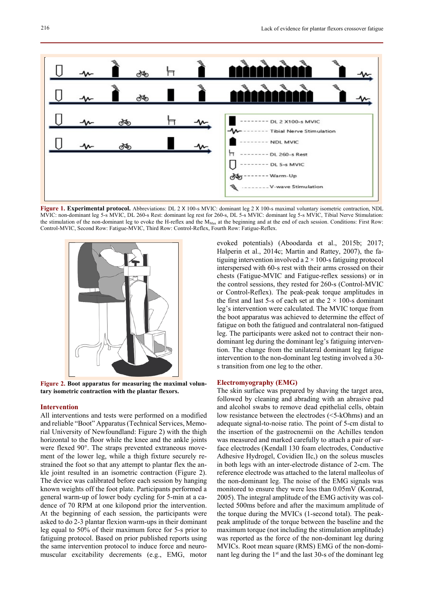

**Figure 1. Experimental protocol.** Abbreviations: DL 2 X 100-s MVIC: dominant leg 2 X 100-s maximal voluntary isometric contraction, NDL MVIC: non-dominant leg 5-s MVIC, DL 260-s Rest: dominant leg rest for 260-s, DL 5-s MVIC: dominant leg 5-s MVIC, Tibial Nerve Stimulation: the stimulation of the non-dominant leg to evoke the H-reflex and the M<sub>Max</sub> at the beginning and at the end of each session. Conditions: First Row: Control-MVIC, Second Row: Fatigue-MVIC, Third Row: Control-Reflex, Fourth Row: Fatigue-Reflex.



**Figure 2. Boot apparatus for measuring the maximal voluntary isometric contraction with the plantar flexors.**

#### **Intervention**

All interventions and tests were performed on a modified and reliable "Boot" Apparatus (Technical Services, Memorial University of Newfoundland: Figure 2) with the thigh horizontal to the floor while the knee and the ankle joints were flexed 90°. The straps prevented extraneous movement of the lower leg, while a thigh fixture securely restrained the foot so that any attempt to plantar flex the ankle joint resulted in an isometric contraction (Figure 2). The device was calibrated before each session by hanging known weights off the foot plate. Participants performed a general warm-up of lower body cycling for 5-min at a cadence of 70 RPM at one kilopond prior the intervention. At the beginning of each session, the participants were asked to do 2-3 plantar flexion warm-ups in their dominant leg equal to 50% of their maximum force for 5-s prior to fatiguing protocol. Based on prior published reports using the same intervention protocol to induce force and neuromuscular excitability decrements (e.g., EMG, motor

evoked potentials) (Aboodarda et al., 2015b; 2017; Halperin et al., 2014c; Martin and Rattey, 2007), the fatiguing intervention involved a  $2 \times 100$ -s fatiguing protocol interspersed with 60-s rest with their arms crossed on their chests (Fatigue-MVIC and Fatigue-reflex sessions) or in the control sessions, they rested for 260-s (Control-MVIC or Control-Reflex). The peak-peak torque amplitudes in the first and last 5-s of each set at the  $2 \times 100$ -s dominant leg's intervention were calculated. The MVIC torque from the boot apparatus was achieved to determine the effect of fatigue on both the fatigued and contralateral non-fatigued leg. The participants were asked not to contract their nondominant leg during the dominant leg's fatiguing intervention. The change from the unilateral dominant leg fatigue intervention to the non-dominant leg testing involved a 30 s transition from one leg to the other.

#### **Electromyography (EMG)**

The skin surface was prepared by shaving the target area, followed by cleaning and abrading with an abrasive pad and alcohol swabs to remove dead epithelial cells, obtain low resistance between the electrodes (<5-kOhms) and an adequate signal-to-noise ratio. The point of 5-cm distal to the insertion of the gastrocnemii on the Achilles tendon was measured and marked carefully to attach a pair of surface electrodes (Kendall 130 foam electrodes, Conductive Adhesive Hydrogel, Covidien IIc,) on the soleus muscles in both legs with an inter-electrode distance of 2-cm. The reference electrode was attached to the lateral malleolus of the non-dominant leg. The noise of the EMG signals was monitored to ensure they were less than 0.05mV (Konrad, 2005). The integral amplitude of the EMG activity was collected 500ms before and after the maximum amplitude of the torque during the MVICs (1-second total). The peakpeak amplitude of the torque between the baseline and the maximum torque (not including the stimulation amplitude) was reported as the force of the non-dominant leg during MVICs. Root mean square (RMS) EMG of the non-dominant leg during the 1st and the last 30-s of the dominant leg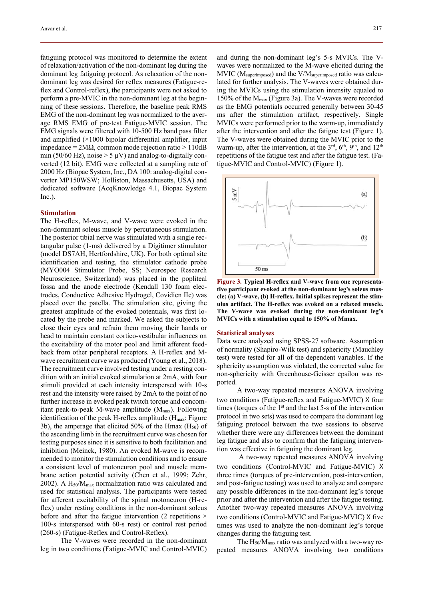fatiguing protocol was monitored to determine the extent of relaxation/activation of the non-dominant leg during the dominant leg fatiguing protocol. As relaxation of the nondominant leg was desired for reflex measures (Fatigue-reflex and Control-reflex), the participants were not asked to perform a pre-MVIC in the non-dominant leg at the beginning of these sessions. Therefore, the baseline peak RMS EMG of the non-dominant leg was normalized to the average RMS EMG of pre-test Fatigue-MVIC session. The EMG signals were filtered with 10-500 Hz band pass filter and amplified (×1000 bipolar differential amplifier, input impedance =  $2MΩ$ , common mode rejection ratio > 110dB min (50/60 Hz), noise  $>$  5  $\mu$ V) and analog-to-digitally converted (12 bit). EMG were collected at a sampling rate of 2000 Hz (Biopac System, Inc., DA 100: analog-digital converter MP150WSW; Holliston, Massachusetts, USA) and dedicated software (AcqKnowledge 4.1, Biopac System Inc.).

## **Stimulation**

The H-reflex, M-wave, and V-wave were evoked in the non-dominant soleus muscle by percutaneous stimulation. The posterior tibial nerve was stimulated with a single rectangular pulse (1-ms) delivered by a Digitimer stimulator (model DS7AH, Hertfordshire, UK). For both optimal site identification and testing, the stimulator cathode probe (MYO004 Stimulator Probe, SS; Neurospec Research Neuroscience, Switzerland) was placed in the popliteal fossa and the anode electrode (Kendall 130 foam electrodes, Conductive Adhesive Hydrogel, Covidien IIc) was placed over the patella. The stimulation site, giving the greatest amplitude of the evoked potentials, was first located by the probe and marked. We asked the subjects to close their eyes and refrain them moving their hands or head to maintain constant cortico-vestibular influences on the excitability of the motor pool and limit afferent feedback from other peripheral receptors. A H-reflex and Mwave recruitment curve was produced (Young et al., 2018). The recruitment curve involved testing under a resting condition with an initial evoked stimulation at 2mA, with four stimuli provided at each intensity interspersed with 10-s rest and the intensity were raised by 2mA to the point of no further increase in evoked peak twitch torque and concomitant peak-to-peak M-wave amplitude  $(M_{max})$ . Following identification of the peak H-reflex amplitude  $(H_{\text{max}}:$  Figure 3b), the amperage that elicited 50% of the Hmax  $(H<sub>50</sub>)$  of the ascending limb in the recruitment curve was chosen for testing purposes since it is sensitive to both facilitation and inhibition (Meinck, 1980). An evoked M-wave is recommended to monitor the stimulation conditions and to ensure a consistent level of motoneuron pool and muscle membrane action potential activity (Chen et al., 1999; Zehr, 2002). A  $H_{50}/M_{\text{max}}$  normalization ratio was calculated and used for statistical analysis. The participants were tested for afferent excitability of the spinal motoneuron (H-reflex) under resting conditions in the non-dominant soleus before and after the fatigue intervention (2 repetitions  $\times$ 100-s interspersed with 60-s rest) or control rest period (260-s) (Fatigue-Reflex and Control-Reflex).

The V-waves were recorded in the non-dominant leg in two conditions (Fatigue-MVIC and Control-MVIC) and during the non-dominant leg's 5-s MVICs. The Vwaves were normalized to the M-wave elicited during the MVIC (Msuperimposed) and the V/Msuperimposed ratio was calculated for further analysis. The V-waves were obtained during the MVICs using the stimulation intensity equaled to 150% of the Mmax (Figure 3a). The V-waves were recorded as the EMG potentials occurred generally between 30-45 ms after the stimulation artifact, respectively. Single MVICs were performed prior to the warm-up, immediately after the intervention and after the fatigue test (Figure 1). The V-waves were obtained during the MVIC prior to the warm-up, after the intervention, at the  $3<sup>rd</sup>$ ,  $6<sup>th</sup>$ ,  $9<sup>th</sup>$ , and  $12<sup>th</sup>$ repetitions of the fatigue test and after the fatigue test. (Fatigue-MVIC and Control-MVIC) (Figure 1).



**Figure 3. Typical H-reflex and V-wave from one representative participant evoked at the non-dominant leg's soleus muscle; (a) V-wave, (b) H-reflex. Initial spikes represent the stimulus artifact. The H-reflex was evoked on a relaxed muscle. The V-wave was evoked during the non-dominant leg's MVICs with a stimulation equal to 150% of Mmax.** 

### **Statistical analyses**

Data were analyzed using SPSS-27 software. Assumption of normality (Shapiro-Wilk test) and sphericity (Mauchley test) were tested for all of the dependent variables. If the sphericity assumption was violated, the corrected value for non-sphericity with Greenhouse-Geisser epsilon was reported.

A two-way repeated measures ANOVA involving two conditions (Fatigue-reflex and Fatigue-MVIC) ꓫ four times (torques of the 1<sup>st</sup> and the last 5-s of the intervention protocol in two sets) was used to compare the dominant leg fatiguing protocol between the two sessions to observe whether there were any differences between the dominant leg fatigue and also to confirm that the fatiguing intervention was effective in fatiguing the dominant leg.

 A two-way repeated measures ANOVA involving two conditions (Control-MVIC and Fatigue-MVIC) X three times (torques of pre-intervention, post-intervention, and post-fatigue testing) was used to analyze and compare any possible differences in the non-dominant leg's torque prior and after the intervention and after the fatigue testing. Another two-way repeated measures ANOVA involving two conditions (Control-MVIC and Fatigue-MVIC) X five times was used to analyze the non-dominant leg's torque changes during the fatiguing test.

The H50/Mmax ratio was analyzed with a two-way repeated measures ANOVA involving two conditions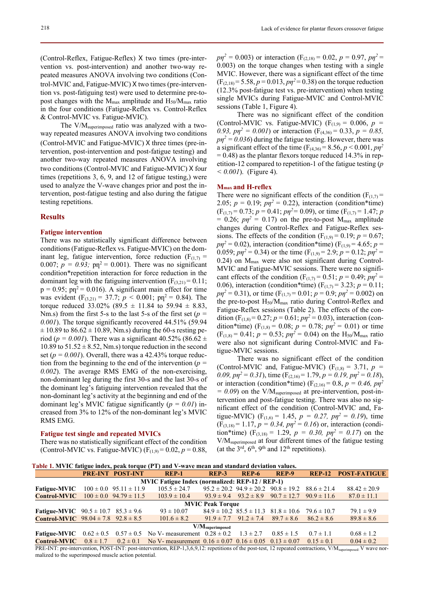(Control-Reflex, Fatigue-Reflex) X two times (pre-intervention vs. post-intervention) and another two-way repeated measures ANOVA involving two conditions (Control-MVIC and, Fatigue-MVIC) X two times (pre-intervention vs. post-fatiguing test) were used to determine pre-topost changes with the  $M_{\text{max}}$  amplitude and  $H_{50}/M_{\text{max}}$  ratio in the four conditions (Fatigue-Reflex vs. Control-Reflex & Control-MVIC vs. Fatigue-MVIC).

The V/M<sub>superimposed</sub> ratio was analyzed with a twoway repeated measures ANOVA involving two conditions (Control-MVIC and Fatigue-MVIC) X three times (pre-intervention, post-intervention and post-fatigue testing) and another two-way repeated measures ANOVA involving two conditions (Control-MVIC and Fatigue-MVIC) X four times (repetitions 3, 6, 9, and 12 of fatigue testing,) were used to analyze the V-wave changes prior and post the intervention, post-fatigue testing and also during the fatigue testing repetitions.

### **Results**

### **Fatigue intervention**

There was no statistically significant difference between conditions (Fatigue-Reflex vs. Fatigue-MVIC) on the dominant leg, fatigue intervention, force reduction ( $F_{(1,7)}$  = 0.007;  $p = 0.93$ ;  $p\text{m}^2 = 0.001$ ). There was no significant condition\*repetition interaction for force reduction in the dominant leg with the fatiguing intervention  $(F_{(3,21)} = 0.11)$ ;  $p = 0.95$ ;  $p_1^2 = 0.016$ ). A significant main effect for time was evident ( $F_{(3,21)} = 37.7$ ;  $p < 0.001$ ;  $pn^2 = 0.84$ ). The torque reduced 33.02% (89.5  $\pm$  11.84 to 59.94  $\pm$  8.83, Nm.s) from the first 5-s to the last 5-s of the first set (*p = 0.001*). The torque significantly recovered 44.51% (59.94  $\pm$  10.89 to 86.62  $\pm$  10.89, Nm.s) during the 60-s resting period ( $p = 0.001$ ). There was a significant 40.52% (86.62 ± 10.89 to  $51.52 \pm 8.52$ , Nm.s) torque reduction in the second set ( $p = 0.001$ ). Overall, there was a 42.43% torque reduction from the beginning to the end of the intervention (*p = 0.002*). The average RMS EMG of the non-exercising, non-dominant leg during the first 30-s and the last 30-s of the dominant leg's fatiguing intervention revealed that the non-dominant leg's activity at the beginning and end of the dominant leg's MVIC fatigue significantly (*p = 0.01*) increased from 3% to 12% of the non-dominant leg's MVIC RMS EMG.

### **Fatigue test single and repeated MVICs**

There was no statistically significant effect of the condition (Control-MVIC vs. Fatigue-MVIC)  $(F_{(1,9)} = 0.02, p = 0.88,$ 

 $p\eta^2 = 0.003$ ) or interaction (F<sub>(2,18)</sub> = 0.02,  $p = 0.97$ ,  $p\eta^2 =$ 0.003) on the torque changes when testing with a single MVIC. However, there was a significant effect of the time  $(F_{(2,18)} = 5.58, p = 0.013, pn^2 = 0.38)$  on the torque reduction (12.3% post-fatigue test vs. pre-intervention) when testing single MVICs during Fatigue-MVIC and Control-MVIC sessions (Table 1, Figure 4).

There was no significant effect of the condition (Control-MVIC vs. Fatigue-MVIC) ( $F_{(1,9)} = 0.006$ ,  $p =$ 0.93,  $p\eta^2 = 0.001$ ) or interaction (F<sub>(4,36)</sub> = 0.33,  $p = 0.85$ ,  $p\eta^2 = 0.036$ ) during the fatigue testing. However, there was a significant effect of the time  $(F_{(4,36)} = 8.56, p \lt 0.001, pn^2$  $= 0.48$ ) as the plantar flexors torque reduced 14.3% in repetition-12 compared to repetition-1 of the fatigue testing (*p*   $< 0.001$ ). (Figure 4).

#### **Mmax and H-reflex**

There were no significant effects of the condition ( $F_{(1,7)}$  = 2.05;  $p = 0.19$ ;  $p\eta^2 = 0.22$ ), interaction (condition\*time)  $(F_{(1,7)} = 0.73; p = 0.41; p\eta^2 = 0.09)$ , or time  $(F_{(1,7)} = 1.47; p$  $= 0.26$ ;  $p\eta^2 = 0.17$ ) on the pre-to-post M<sub>max</sub> amplitude changes during Control-Reflex and Fatigue-Reflex sessions. The effects of the condition  $(F_{(1,9)} = 0.19; p = 0.67;$  $p\eta^2 = 0.02$ ), interaction (condition\*time) (F<sub>(1,9)</sub> = 4.65; *p* = 0.059;  $p\eta^2 = 0.34$ ) or the time (F<sub>(1,9)</sub> = 2.9;  $p = 0.12$ ;  $p\eta^2 =$ 0.24) on  $M<sub>max</sub>$  were also not significant during Control-MVIC and Fatigue-MVIC sessions. There were no significant effects of the condition ( $F_{(1,7)} = 0.51$ ;  $p = 0.49$ ;  $p\eta^2 =$ 0.06), interaction (condition\*time)  $(F_{(1,7)} = 3.23; p = 0.11;$  $p\eta^2 = 0.31$ , or time (F<sub>(1,7)</sub> = 0.01;  $p = 0.9$ ;  $p\eta^2 = 0.002$ ) on the pre-to-post  $H_{50}/M_{\text{max}}$  ratio during Control-Reflex and Fatigue-Reflex sessions (Table 2). The effects of the condition (F<sub>(1,8)</sub> = 0.27;  $p = 0.61$ ;  $p\eta^2 = 0.03$ ), interaction (condition\*time) ( $F_{(1,8)} = 0.08$ ;  $p = 0.78$ ;  $p\eta^2 = 0.01$ ) or time  $(F_{(1,8)} = 0.41; p = 0.53; p\eta^2 = 0.04)$  on the H<sub>50</sub>/M<sub>max</sub> ratio were also not significant during Control-MVIC and Fatigue-MVIC sessions.

There was no significant effect of the condition (Control-MVIC and, Fatigue-MVIC) ( $F_{(1,8)} = 3.71$ ,  $p =$ 0.09,  $p\eta^2 = 0.31$ , time  $(F_{(2,16)} = 1.79, p = 0.19, p\eta^2 = 0.18)$ , or interaction (condition\*time) ( $F_{(2,16)} = 0.8$ ,  $p = 0.46$ ,  $p\eta^2$  $= 0.09$  on the V/M<sub>superimposed</sub> at pre-intervention, post-intervention and post-fatigue testing. There was also no significant effect of the condition (Control-MVIC and, Fatigue-MVIC) ( $F_{(1,6)} = 1.45$ ,  $p = 0.27$ ,  $p\eta^2 = 0.19$ ), time  $(F_{(3,18)} = 1.17, p = 0.34, pp^2 = 0.16$  or, interaction (condition\*time) ( $F_{(3,18)} = 1.29$ ,  $p = 0.30$ ,  $p\eta^2 = 0.17$ ) on the V/Msuperimposed at four different times of the fatigue testing (at the  $3<sup>rd</sup>$ ,  $6<sup>th</sup>$ ,  $9<sup>th</sup>$  and  $12<sup>th</sup>$  repetitions).

 **Table 1. MVIC fatigue index, peak torque (PT) and V-wave mean and standard deviation values.** 

|                                                        |  | <b>PRE-INT POST-INT</b>        | REP-1                                                                                         | REP <sub>-3</sub> | REP-6                         | REP-9                                                           | <b>REP-12</b>  | <b>POST-FATIGUE</b> |  |
|--------------------------------------------------------|--|--------------------------------|-----------------------------------------------------------------------------------------------|-------------------|-------------------------------|-----------------------------------------------------------------|----------------|---------------------|--|
| <b>MVIC Fatigue Index (normalized: REP-12 / REP-1)</b> |  |                                |                                                                                               |                   |                               |                                                                 |                |                     |  |
| <b>Fatigue-MVIC</b>                                    |  | $100 \pm 0.0$ 95.11 $\pm$ 11.9 | $105.5 \pm 24.7$                                                                              |                   |                               | $95.2 \pm 20.2$ $94.9 \pm 20.2$ $90.8 \pm 19.2$ $88.6 \pm 21.4$ |                | $88.42 \pm 20.9$    |  |
| <b>Control-MVIC</b>                                    |  | $100 \pm 0.0$ 94.79 $\pm$ 11.5 | $103.9 \pm 10.4$                                                                              |                   |                               | $93.9 \pm 9.4$ $93.2 \pm 8.9$ $90.7 \pm 12.7$ $90.9 \pm 11.6$   |                | $87.0 \pm 11.1$     |  |
| <b>MVIC Peak Torque</b>                                |  |                                |                                                                                               |                   |                               |                                                                 |                |                     |  |
| <b>Fatigue-MVIC</b> $90.5 \pm 10.7$ $85.3 \pm 9.6$     |  |                                | $93 \pm 10.07$                                                                                |                   |                               | $84.9 \pm 10.2$ $85.5 \pm 11.3$ $81.8 \pm 10.6$ $79.6 \pm 10.7$ |                | $79.1 \pm 9.9$      |  |
| <b>Control-MVIC</b> $98.04 \pm 7.8$ $92.8 \pm 8.5$     |  |                                | $101.6 \pm 8.2$                                                                               |                   | $91.9 \pm 7.7$ $91.2 \pm 7.4$ | $89.7 \pm 8.6$                                                  | $86.2 \pm 8.6$ | $89.8 \pm 8.6$      |  |
| V/M <sub>superimposed</sub>                            |  |                                |                                                                                               |                   |                               |                                                                 |                |                     |  |
| Fatigue-MVIC $0.62 \pm 0.5$                            |  |                                | $0.57 \pm 0.5$ No V- measurement $0.28 \pm 0.2$                                               |                   | $1.3 \pm 2.7$                 | $0.85 \pm 1.5$                                                  | $0.7 \pm 1.1$  | $0.68 \pm 1.2$      |  |
| <b>Control-MVIC</b>                                    |  |                                | $0.8 \pm 1.7$ $0.2 \pm 0.1$ No V- measurement $0.16 \pm 0.07$ $0.16 \pm 0.05$ $0.13 \pm 0.07$ |                   |                               |                                                                 | $0.15 \pm 0.1$ | $0.04 \pm 0.2$      |  |

PRE-INT: pre-intervention, POST-INT: post-intervention, REP-1,3,6,9,12: repetitions of the post-test, 12 repeated contractions, V/M<sub>superimposed</sub>: V wave normalized to the superimposed muscle action potential.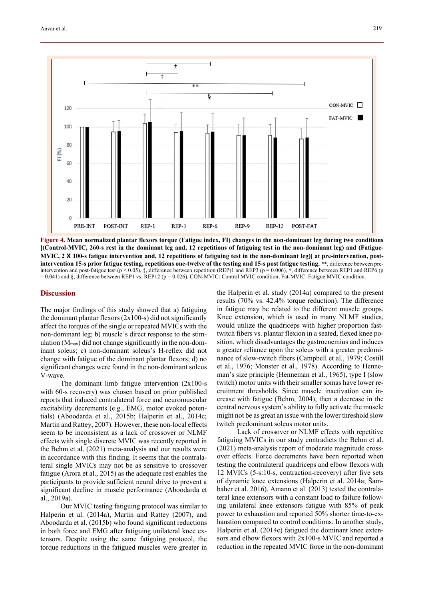

**Figure 4. Mean normalized plantar flexors torque (Fatigue index, FI) changes in the non-dominant leg during two conditions [(Control-MVIC, 260-s rest in the dominant leg and, 12 repetitions of fatiguing test in the non-dominant leg) and (Fatigue-MVIC, 2 X 100-s fatigue intervention and, 12 repetitions of fatiguing test in the non-dominant leg) at pre-intervention, postintervention 15-s prior fatigue testing, repetitions one-twelve of the testing and 15-s post fatigue testing.** \*\*, difference between preintervention and post-fatigue test (p < 0.05),  $\ddagger$ , difference between repetition (REP)1 and REP3 (p = 0.006),  $\ddagger$ , difference between REP1 and REP6 (p = 0.041) and §, difference between REP1 vs. REP12 (p = 0.026). CON-MVIC: Control MVIC condition, Fat-MVIC: Fatigue MVIC condition.

### **Discussion**

The major findings of this study showed that a) fatiguing the dominant plantar flexors  $(2x100-s)$  did not significantly affect the torques of the single or repeated MVICs with the non-dominant leg; b) muscle's direct response to the stimulation  $(M<sub>max</sub>)$  did not change significantly in the non-dominant soleus; c) non-dominant soleus's H-reflex did not change with fatigue of the dominant plantar flexors; d) no significant changes were found in the non-dominant soleus V-wave.

The dominant limb fatigue intervention (2x100-s with 60-s recovery) was chosen based on prior published reports that induced contralateral force and neuromuscular excitability decrements (e.g., EMG, motor evoked potentials) (Aboodarda et al., 2015b; Halperin et al., 2014c; Martin and Rattey, 2007). However, these non-local effects seem to be inconsistent as a lack of crossover or NLMF effects with single discrete MVIC was recently reported in the Behm et al. (2021) meta-analysis and our results were in accordance with this finding. It seems that the contralateral single MVICs may not be as sensitive to crossover fatigue (Arora et al., 2015) as the adequate rest enables the participants to provide sufficient neural drive to prevent a significant decline in muscle performance (Aboodarda et al., 2019a).

Our MVIC testing fatiguing protocol was similar to Halperin et al. (2014a), Martin and Rattey (2007), and Aboodarda et al. (2015b) who found significant reductions in both force and EMG after fatiguing unilateral knee extensors. Despite using the same fatiguing protocol, the torque reductions in the fatigued muscles were greater in the Halperin et al. study (2014a) compared to the present results (70% vs. 42.4% torque reduction). The difference in fatigue may be related to the different muscle groups. Knee extension, which is used in many NLMF studies, would utilize the quadriceps with higher proportion fasttwitch fibers vs. plantar flexion in a seated, flexed knee position, which disadvantages the gastrocnemius and induces a greater reliance upon the soleus with a greater predominance of slow-twitch fibers (Campbell et al., 1979; Costill et al., 1976; Monster et al., 1978). According to Henneman's size principle (Henneman et al., 1965), type I (slow twitch) motor units with their smaller somas have lower recruitment thresholds. Since muscle inactivation can increase with fatigue (Behm, 2004), then a decrease in the central nervous system's ability to fully activate the muscle might not be as great an issue with the lower threshold slow twitch predominant soleus motor units.

Lack of crossover or NLMF effects with repetitive fatiguing MVICs in our study contradicts the Behm et al. (2021) meta-analysis report of moderate magnitude crossover effects. Force decrements have been reported when testing the contralateral quadriceps and elbow flexors with 12 MVICs (5-s:10-s, contraction-recovery) after five sets of dynamic knee extensions (Halperin et al. 2014a; Šambaher et al. 2016). Amann et al. (2013) tested the contralateral knee extensors with a constant load to failure following unilateral knee extensors fatigue with 85% of peak power to exhaustion and reported 50% shorter time-to-exhaustion compared to control conditions. In another study, Halperin et al. (2014c) fatigued the dominant knee extensors and elbow flexors with 2x100-s MVIC and reported a reduction in the repeated MVIC force in the non-dominant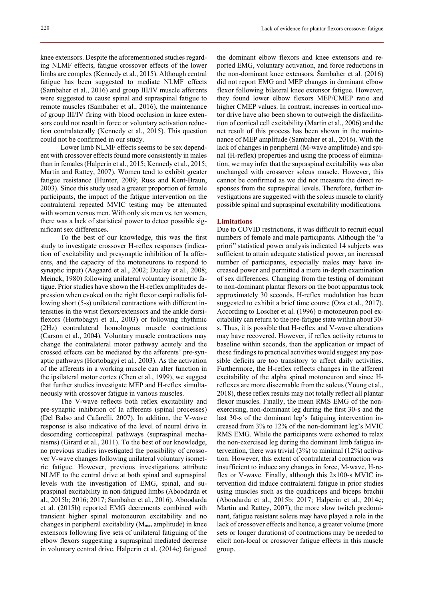limbs are complex (Kennedy et al., 2015). Although central fatigue has been suggested to mediate NLMF effects (Sambaher et al., 2016) and group III/IV muscle afferents were suggested to cause spinal and supraspinal fatigue to remote muscles (Sambaher et al., 2016), the maintenance of group III/IV firing with blood occlusion in knee extensors could not result in force or voluntary activation reduction contralaterally (Kennedy et al., 2015). This question could not be confirmed in our study.

Lower limb NLMF effects seems to be sex dependent with crossover effects found more consistently in males than in females (Halperin et al., 2015; Kennedy et al., 2015; Martin and Rattey, 2007). Women tend to exhibit greater fatigue resistance (Hunter, 2009; Russ and Kent-Braun, 2003). Since this study used a greater proportion of female participants, the impact of the fatigue intervention on the contralateral repeated MVIC testing may be attenuated with women versus men. With only six men vs. ten women, there was a lack of statistical power to detect possible significant sex differences.

To the best of our knowledge, this was the first study to investigate crossover H-reflex responses (indication of excitability and presynaptic inhibition of Ia afferents, and the capacity of the motoneurons to respond to synaptic input) (Aagaard et al., 2002; Duclay et al., 2008; Meinck, 1980) following unilateral voluntary isometric fatigue. Prior studies have shown the H-reflex amplitudes depression when evoked on the right flexor carpi radialis following short (5-s) unilateral contractions with different intensities in the wrist flexors/extensors and the ankle dorsiflexors (Hortobagyi et al., 2003) or following rhythmic (2Hz) contralateral homologous muscle contractions (Carson et al., 2004). Voluntary muscle contractions may change the contralateral motor pathway acutely and the crossed effects can be mediated by the afferents' pre-synaptic pathways (Hortobagyi et al., 2003). As the activation of the afferents in a working muscle can alter function in the ipsilateral motor cortex (Chen et al., 1999), we suggest that further studies investigate MEP and H-reflex simultaneously with crossover fatigue in various muscles.

The V-wave reflects both reflex excitability and pre-synaptic inhibition of Ia afferents (spinal processes) (Del Balso and Cafarelli, 2007). In addition, the V-wave response is also indicative of the level of neural drive in descending corticospinal pathways (supraspinal mechanisms) (Girard et al., 2011). To the best of our knowledge, no previous studies investigated the possibility of crossover V-wave changes following unilateral voluntary isometric fatigue. However, previous investigations attribute NLMF to the central drive at both spinal and supraspinal levels with the investigation of EMG, spinal, and supraspinal excitability in non-fatigued limbs (Aboodarda et al., 2015b; 2016; 2017; Sambaher et al., 2016). Aboodarda et al. (2015b) reported EMG decrements combined with transient higher spinal motoneuron excitability and no changes in peripheral excitability ( $M_{\text{max}}$  amplitude) in knee extensors following five sets of unilateral fatiguing of the elbow flexors suggesting a supraspinal mediated decrease in voluntary central drive. Halperin et al. (2014c) fatigued

the dominant elbow flexors and knee extensors and reported EMG, voluntary activation, and force reductions in the non-dominant knee extensors. Šambaher et al. (2016) did not report EMG and MEP changes in dominant elbow flexor following bilateral knee extensor fatigue. However, they found lower elbow flexors MEP/CMEP ratio and higher CMEP values. In contrast, increases in cortical motor drive have also been shown to outweigh the disfacilitation of cortical cell excitability (Martin et al., 2006) and the net result of this process has been shown in the maintenance of MEP amplitude (Sambaher et al., 2016). With the lack of changes in peripheral (M-wave amplitude) and spinal (H-reflex) properties and using the process of elimination, we may infer that the supraspinal excitability was also unchanged with crossover soleus muscle. However, this cannot be confirmed as we did not measure the direct responses from the supraspinal levels. Therefore, further investigations are suggested with the soleus muscle to clarify possible spinal and supraspinal excitability modifications.

# **Limitations**

Due to COVID restrictions, it was difficult to recruit equal numbers of female and male participants. Although the "a priori" statistical power analysis indicated 14 subjects was sufficient to attain adequate statistical power, an increased number of participants, especially males may have increased power and permitted a more in-depth examination of sex differences. Changing from the testing of dominant to non-dominant plantar flexors on the boot apparatus took approximately 30 seconds. H-reflex modulation has been suggested to exhibit a brief time course (Oza et al., 2017). According to Loscher et al. (1996) α-motoneuron pool excitability can return to the pre-fatigue state within about 30 s. Thus, it is possible that H-reflex and V-wave alterations may have recovered. However, if reflex activity returns to baseline within seconds, then the application or impact of these findings to practical activities would suggest any possible deficits are too transitory to affect daily activities. Furthermore, the H-reflex reflects changes in the afferent excitability of the alpha spinal motoneuron and since Hreflexes are more discernable from the soleus (Young et al., 2018), these reflex results may not totally reflect all plantar flexor muscles. Finally, the mean RMS EMG of the nonexercising, non-dominant leg during the first 30-s and the last 30-s of the dominant leg's fatiguing intervention increased from 3% to 12% of the non-dominant leg's MVIC RMS EMG. While the participants were exhorted to relax the non-exercised leg during the dominant limb fatigue intervention, there was trivial (3%) to minimal (12%) activation. However, this extent of contralateral contraction was insufficient to induce any changes in force, M-wave, H-reflex or V-wave. Finally, although this 2x100-s MVIC intervention did induce contralateral fatigue in prior studies using muscles such as the quadriceps and biceps brachii (Aboodarda et al., 2015b; 2017; Halperin et al., 2014c; Martin and Rattey, 2007), the more slow twitch predominant, fatigue resistant soleus may have played a role in the lack of crossover effects and hence, a greater volume (more sets or longer durations) of contractions may be needed to elicit non-local or crossover fatigue effects in this muscle group.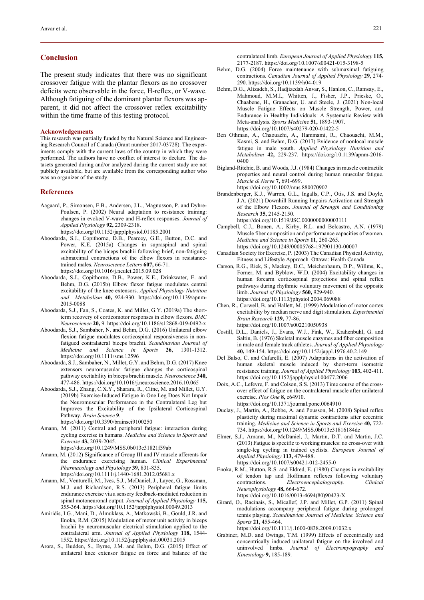# **Conclusion**

The present study indicates that there was no significant crossover fatigue with the plantar flexors as no crossover deficits were observable in the force, H-reflex, or V-wave. Although fatiguing of the dominant plantar flexors was apparent, it did not affect the crossover reflex excitability within the time frame of this testing protocol.

#### **Acknowledgements**

This research was partially funded by the Natural Science and Engineering Research Council of Canada (Grant number 2017-03728). The experiments comply with the current laws of the country in which they were performed. The authors have no conflict of interest to declare. The datasets generated during and/or analyzed during the current study are not publicly available, but are available from the corresponding author who was an organizer of the study.

#### **References**

Aagaard, P., Simonsen, E.B., Andersen, J.L., Magnusson, P. and Dyhre-Poulsen, P. (2002) Neural adaptation to resistance training: changes in evoked V-wave and H-reflex responses. *Journal of Applied Physiology* **92,** 2309-2318.

https://doi.org/10.1152/japplphysiol.01185.2001

- Aboodarda, S.J., Copithorne, D.B., Pearcey, G.E., Button, D.C. and Power, K.E. (2015a) Changes in supraspinal and spinal excitability of the biceps brachii following brief, non-fatiguing submaximal contractions of the elbow flexors in resistancetrained males. *Neuroscience Letters* **607,** 66-71. https://doi.org/10.1016/j.neulet.2015.09.028
- Aboodarda, S.J., Copithorne, D.B., Power, K.E., Drinkwater, E. and Behm, D.G. (2015b) Elbow flexor fatigue modulates central excitability of the knee extensors. *Applied Physiology Nutrition and Metabolism* **40,** 924-930. https://doi.org/10.1139/apnm-2015-0088
- Aboodarda, S.J., Fan, S., Coates, K. and Millet, G.Y. (2019a) The shortterm recovery of corticomotor responses in elbow flexors. *BMC Neuroscience* **20,** 9. https://doi.org/10.1186/s12868-019-0492-x
- Aboodarda, S.J., Sambaher, N. and Behm, D.G. (2016) Unilateral elbow flexion fatigue modulates corticospinal responsiveness in nonfatigued contralateral biceps brachii. *Scandinavian Journal of Medicine and Science in Sports* **26,** 1301-1312. https://doi.org/10.1111/sms.12596
- Aboodarda, S.J., Sambaher, N., Millet, G.Y. and Behm, D.G. (2017) Knee extensors neuromuscular fatigue changes the corticospinal pathway excitability in biceps brachii muscle. *Neuroscience* **340,** 477-486. https://doi.org/10.1016/j.neuroscience.2016.10.065
- Aboodarda, S.J., Zhang, C.X.Y., Sharara, R., Cline, M. and Millet, G.Y. (2019b) Exercise-Induced Fatigue in One Leg Does Not Impair the Neuromuscular Performance in the Contralateral Leg but Improves the Excitability of the Ipsilateral Corticospinal Pathway. *Brain Science* **9**. https://doi.org/10.3390/brainsci9100250
- Amann, M. (2011) Central and peripheral fatigue: interaction during cycling exercise in humans. *Medicine and Science in Sports and Exercise* **43,** 2039-2045.

https://doi.org/10.1249/MSS.0b013e31821f59ab

- Amann, M. (2012) Significance of Group III and IV muscle afferents for the endurance exercising human. *Clinical Experimental Pharmacology and Physiology* **39,** 831-835. https://doi.org/10.1111/j.1440-1681.2012.05681.x
- Amann, M., Venturelli, M., Ives, S.J., McDaniel, J., Layec, G., Rossman, M.J. and Richardson, R.S. (2013) Peripheral fatigue limits endurance exercise via a sensory feedback-mediated reduction in spinal motoneuronal output. *Journal of Applied Physiology* **115,**
- 355-364. https://doi.org/10.1152/japplphysiol.00049.2013 Amiridis, I.G., Mani, D., Almuklass, A., Matkowski, B., Gould, J.R. and Enoka, R.M. (2015) Modulation of motor unit activity in biceps brachii by neuromuscular electrical stimulation applied to the contralateral arm. *Journal of Applied Physiology* **118,** 1544- 1552. https://doi.org/10.1152/japplphysiol.00031.2015
- Arora, S., Budden, S., Byrne, J.M. and Behm, D.G. (2015) Effect of unilateral knee extensor fatigue on force and balance of the

contralateral limb. *European Journal of Applied Physiology* **115,** 2177-2187. https://doi.org/10.1007/s00421-015-3198-5

- Behm, D.G. (2004) Force maintenance with submaximal fatiguing contractions. *Canadian Journal of Applied Physiology* **29,** 274- 290. https://doi.org/10.1139/h04-019
- Behm, D.G., Alizadeh, S., Hadjizedah Anvar, S., Hanlon, C., Ramsay, E., Mahmoud, M.M.I., Whitten, J., Fisher, J.P., Prieske, O., Chaabene, H., Granacher, U. and Steele, J. (2021) Non-local Muscle Fatigue Effects on Muscle Strength, Power, and Endurance in Healthy Individuals: A Systematic Review with Meta-analysis. *Sports Medicine* **51,** 1893-1907. https://doi.org/10.1007/s40279-020-01422-5
- Ben Othman, A., Chaouachi, A., Hammami, R., Chaouachi, M.M., Kasmi, S. and Behm, D.G. (2017) Evidence of nonlocal muscle fatigue in male youth. *Applied Physiology Nutrition and Metabolism* **42,** 229-237. https://doi.org/10.1139/apnm-2016- 0400
- Bigland-Ritchie, B. and Woods, J.J. (1984) Changes in muscle contractile properties and neural control during human muscular fatigue. *Muscle & Nerve* **7,** 691-699. https://doi.org/10.1002/mus.880070902
- Brandenberger, K.J., Warren, G.L., Ingalls, C.P., Otis, J.S. and Doyle, J.A. (2021) Downhill Running Impairs Activation and Strength of the Elbow Flexors. *Journal of Strength and Conditioning Research* **35,** 2145-2150.
	- https://doi.org/10.1519/JSC.0000000000003111
- Campbell, C.J., Bonen, A., Kirby, R.L. and Belcastro, A.N. (1979) Muscle fiber composition and performance capacities of women. *Medicine and Science in Sports* **11,** 260-265. https://doi.org/10.1249/00005768-197901130-00007
- Canadian Society for Exercise, P. (2003) The Canadian Physical Activity, Fitness and Lifestyle Approach. Ottawa: Health Canada.
- Carson, R.G., Riek, S., Mackey, D.C., Meichenbaum, D.P., Willms, K., Forner, M. and Byblow, W.D. (2004) Excitability changes in human forearm corticospinal projections and spinal reflex pathways during rhythmic voluntary movement of the opposite limb. *Journal of Physiology* **560,** 929-940. https://doi.org/10.1113/jphysiol.2004.069088
- Chen, R., Corwell, B. and Hallett, M. (1999) Modulation of motor cortex excitability by median nerve and digit stimulation. *Experimental Brain Research* **129,** 77-86. https://doi.org/10.1007/s002210050938
- Costill, D.L., Daniels, J., Evans, W.J., Fink, W., Krahenbuhl, G. and Saltin, B. (1976) Skeletal muscle enzymes and fiber composition in male and female track athletes. *Journal of Applied Physiology* **40,** 149-154. https://doi.org/10.1152/jappl.1976.40.2.149
- Del Balso, C. and Cafarelli, E. (2007) Adaptations in the activation of human skeletal muscle induced by short-term isometric resistance training. *Journal of Applied Physiology* **103,** 402-411. https://doi.org/10.1152/japplphysiol.00477.2006
- Doix, A.C., Lefevre, F. and Colson, S.S. (2013) Time course of the crossover effect of fatigue on the contralateral muscle after unilateral exercise. *Plos One* **8,** e64910. https://doi.org/10.1371/journal.pone.0064910
- Duclay, J., Martin, A., Robbe, A. and Pousson, M. (2008) Spinal reflex plasticity during maximal dynamic contractions after eccentric training. *Medicine and Science in Sports and Exercise* **40,** 722- 734. https://doi.org/10.1249/MSS.0b013e31816184dc
- Elmer, S.J., Amann, M., McDaniel, J., Martin, D.T. and Martin, J.C. (2013) Fatigue is specific to working muscles: no cross-over with single-leg cycling in trained cyclists. *European Journal of Applied Physiology* **113,** 479-488. https://doi.org/10.1007/s00421-012-2455-0
- Enoka, R.M., Hutton, R.S. and Eldred, E. (1980) Changes in excitability of tendon tap and Hoffmann reflexes following voluntary contractions. *Electroencephalography. Clinical Neurophysiology* **48,** 664-672. https://doi.org/10.1016/0013-4694(80)90423-X
- Girard, O., Racinais, S., Micallef, J.P. and Millet, G.P. (2011) Spinal modulations accompany peripheral fatigue during prolonged tennis playing. *Scandinavian Journal of Medicine. Science and Sports* **21,** 455-464.
	- https://doi.org/10.1111/j.1600-0838.2009.01032.x
- Grabiner, M.D. and Owings, T.M. (1999) Effects of eccentrically and concentrically induced unilateral fatigue on the involved and uninvolved limbs. *Journal of Electromyography and Kinesiology* **9,** 185-189.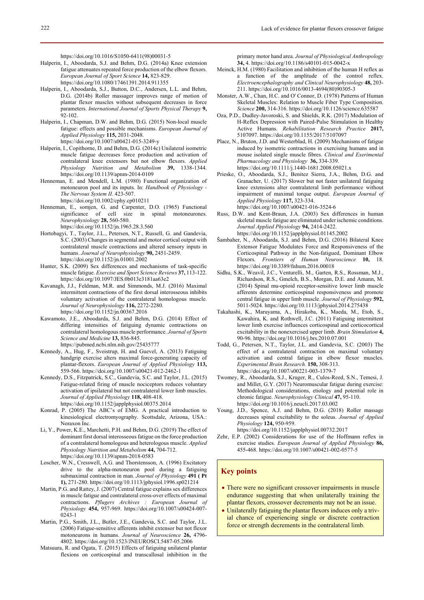https://doi.org/10.1016/S1050-6411(98)00031-5

- Halperin, I., Aboodarda, S.J. and Behm, D.G. (2014a) Knee extension fatigue attenuates repeated force production of the elbow flexors. *European Journal of Sport Science* **14,** 823-829. https://doi.org/10.1080/17461391.2014.911355
- Halperin, I., Aboodarda, S.J., Button, D.C., Andersen, L.L. and Behm, D.G. (2014b) Roller massager improves range of motion of plantar flexor muscles without subsequent decreases in force parameters. *International Journal of Sports Physical Therapy* **9,** 92-102.
- Halperin, I., Chapman, D.W. and Behm, D.G. (2015) Non-local muscle fatigue: effects and possible mechanisms. *European Journal of Applied Physiology* **115,** 2031-2048. https://doi.org/10.1007/s00421-015-3249-y
- Halperin, I., Copithorne, D. and Behm, D.G. (2014c) Unilateral isometric muscle fatigue decreases force production and activation of contralateral knee extensors but not elbow flexors. *Applied Physiology Nutrition and Metabolism* **39,** 1338-1344. https://doi.org/10.1139/apnm-2014-0109
- Henneman, E. and Mendell, L.M. (1980) Functional organization of motoneuron pool and its inputs. In: *Handbook of Physiology - The Nervous System II*. 423-507. https://doi.org/10.1002/cphy.cp010211
- Henneman, E., somjen, G. and Carpenter, D.O. (1965) Functional significance of cell size in spinal motoneurones. *Neurophysiology* **28,** 560-580. https://doi.org/10.1152/jn.1965.28.3.560
- Hortobagyi, T., Taylor, J.L., Petersen, N.T., Russell, G. and Gandevia, S.C. (2003) Changes in segmental and motor cortical output with contralateral muscle contractions and altered sensory inputs in humans. *Journal of Neurophysiology* **90,** 2451-2459. https://doi.org/10.1152/jn.01001.2002
- Hunter, S.K. (2009) Sex differences and mechanisms of task-specific muscle fatigue. *Exercise and Sport Science Reviews* **37,** 113-122. https://doi.org/10.1097/JES.0b013e3181aa63e2
- Kavanagh, J.J., Feldman, M.R. and Simmonds, M.J. (2016) Maximal intermittent contractions of the first dorsal interosseous inhibits voluntary activation of the contralateral homologous muscle. *Journal of Neurophysiology* **116,** 2272-2280. https://doi.org/10.1152/jn.00367.2016
- Kawamoto, J.E., Aboodarda, S.J. and Behm, D.G. (2014) Effect of differing intensities of fatiguing dynamic contractions on contralateral homologous muscle performance. *Journal of Sports Science and Medicine* **13,** 836-845. https://pubmed.ncbi.nlm.nih.gov/25435777
- Kennedy, A., Hug, F., Sveistrup, H. and Guevel, A. (2013) Fatiguing handgrip exercise alters maximal force-generating capacity of plantar-flexors. *European Journal of Applied Physiology* **113,** 559-566. https://doi.org/10.1007/s00421-012-2462-1
- Kennedy, D.S., Fitzpatrick, S.C., Gandevia, S.C. and Taylor, J.L. (2015) Fatigue-related firing of muscle nociceptors reduces voluntary activation of ipsilateral but not contralateral lower limb muscles. *Journal of Applied Physiology* **118,** 408-418. https://doi.org/10.1152/japplphysiol.00375.2014
- Konrad, P. (2005) The ABC's of EMG. A practical introduction to kinesiological electromyography. Scottsdale, Arizona, USA.: Noraxon Inc.
- Li, Y., Power, K.E., Marchetti, P.H. and Behm, D.G. (2019) The effect of dominant first dorsal interosseous fatigue on the force production of a contralateral homologous and heterologous muscle. *Applied Physiology Nutrition and Metabolism* **44,** 704-712. https://doi.org/10.1139/apnm-2018-0583
- Loscher, W.N., Cresswell, A.G. and Thorstensson, A. (1996) Excitatory drive to the alpha-motoneuron pool during a fatiguing submaximal contraction in man. *Journal of Physiology* **491 ( Pt 1),** 271-280. https://doi.org/10.1113/jphysiol.1996.sp021214
- Martin, P.G. and Rattey, J. (2007) Central fatigue explains sex differences in muscle fatigue and contralateral cross-over effects of maximal contractions. *Pflugers Archives : European Journal of Physiology* **454,** 957-969. https://doi.org/10.1007/s00424-007- 0243-1
- Martin, P.G., Smith, J.L., Butler, J.E., Gandevia, S.C. and Taylor, J.L. (2006) Fatigue-sensitive afferents inhibit extensor but not flexor motoneurons in humans. *Journal of Neuroscience* **26,** 4796- 4802. https://doi.org/10.1523/JNEUROSCI.5487-05.2006
- Matsuura, R. and Ogata, T. (2015) Effects of fatiguing unilateral plantar flexions on corticospinal and transcallosal inhibition in the

primary motor hand area. *Journal of Physiological Anthropology* **34,** 4. https://doi.org/10.1186/s40101-015-0042-x

- Meinck, H.M. (1980) Facilitation and inhibition of the human H reflex as a function of the amplitude of the control reflex. *Electroencephalography and Clinical Neurophysiology* **48,** 203- 211. https://doi.org/10.1016/0013-4694(80)90305-3
- Monster, A.W., Chan, H.C. and O' Connor, D. (1978) Patterns of Human Skeletal Muscles: Relation to Muscle Fiber Type Composition. *Science* **200,** 314-316. https://doi.org/10.1126/science.635587
- Oza, P.D., Dudley-Javoroski, S. and Shields, R.K. (2017) Modulation of H-Reflex Depression with Paired-Pulse Stimulation in Healthy Active Humans. *Rehabilitation Research Practice* **2017,** 5107097. https://doi.org/10.1155/2017/5107097
- Place, N., Bruton, J.D. and Westerblad, H. (2009) Mechanisms of fatigue induced by isometric contractions in exercising humans and in mouse isolated single muscle fibres. *Clinical and Exerimental Pharmacology and Physiology* **36,** 334-339. https://doi.org/10.1111/j.1440-1681.2008.05021.x
- Prieske, O., Aboodarda, S.J., Benitez Sierra, J.A., Behm, D.G. and Granacher, U. (2017) Slower but not faster unilateral fatiguing knee extensions alter contralateral limb performance without impairment of maximal torque output. *European Journal of Applied Physiology* **117,** 323-334. https://doi.org/10.1007/s00421-016-3524-6
- Russ, D.W. and Kent-Braun, J.A. (2003) Sex differences in human skeletal muscle fatigue are eliminated under ischemic conditions. *Journal Applied Physiology* **94,** 2414-2422. https://doi.org/10.1152/japplphysiol.01145.2002
- Šambaher, N., Aboodarda, S.J. and Behm, D.G. (2016) Bilateral Knee Extensor Fatigue Modulates Force and Responsiveness of the Corticospinal Pathway in the Non-fatigued, Dominant Elbow Flexors. *Frontiers of Human Neuroscience* **10,** 18. https://doi.org/10.3389/fnhum.2016.00018
- Sidhu, S.K., Weavil, J.C., Venturelli, M., Garten, R.S., Rossman, M.J., Richardson, R.S., Gmelch, B.S., Morgan, D.E. and Amann, M. (2014) Spinal mu-opioid receptor-sensitive lower limb muscle afferents determine corticospinal responsiveness and promote central fatigue in upper limb muscle. *Journal of Physiology* **592,** 5011-5024. https://doi.org/10.1113/jphysiol.2014.275438
- Takahashi, K., Maruyama, A., Hirakoba, K., Maeda, M., Etoh, S., Kawahira, K. and Rothwell, J.C. (2011) Fatiguing intermittent lower limb exercise influences corticospinal and corticocortical excitability in the nonexercised upper limb. *Brain Stimulation* **4,** 90-96. https://doi.org/10.1016/j.brs.2010.07.001
- Todd, G., Petersen, N.T., Taylor, J.L. and Gandevia, S.C. (2003) The effect of a contralateral contraction on maximal voluntary activation and central fatigue in elbow flexor muscles. *Experimental Brain Research.* **150,** 308-313. https://doi.org/10.1007/s00221-003-1379-7
- Twomey, R., Aboodarda, S.J., Kruger, R., Culos-Reed, S.N., Temesi, J. and Millet, G.Y. (2017) Neuromuscular fatigue during exercise: Methodological considerations, etiology and potential role in chronic fatigue. *Neurophysiology Clinical* **47,** 95-110. https://doi.org/10.1016/j.neucli.2017.03.002
- Young, J.D., Spence, A.J. and Behm, D.G. (2018) Roller massage decreases spinal excitability to the soleus. *Journal of Applied Physiology* **124,** 950-959. https://doi.org/10.1152/japplphysiol.00732.2017
- Zehr, E.P. (2002) Considerations for use of the Hoffmann reflex in
- exercise studies. *European Journal of Applied Physiology* **86,** 455-468. https://doi.org/10.1007/s00421-002-0577-5

# **Key points**

- There were no significant crossover impairments in muscle endurance suggesting that when unilaterally training the plantar flexors, crossover decrements may not be an issue.
- Unilaterally fatiguing the plantar flexors induces only a trivial chance of experiencing single or discrete contraction force or strength decrements in the contralateral limb.